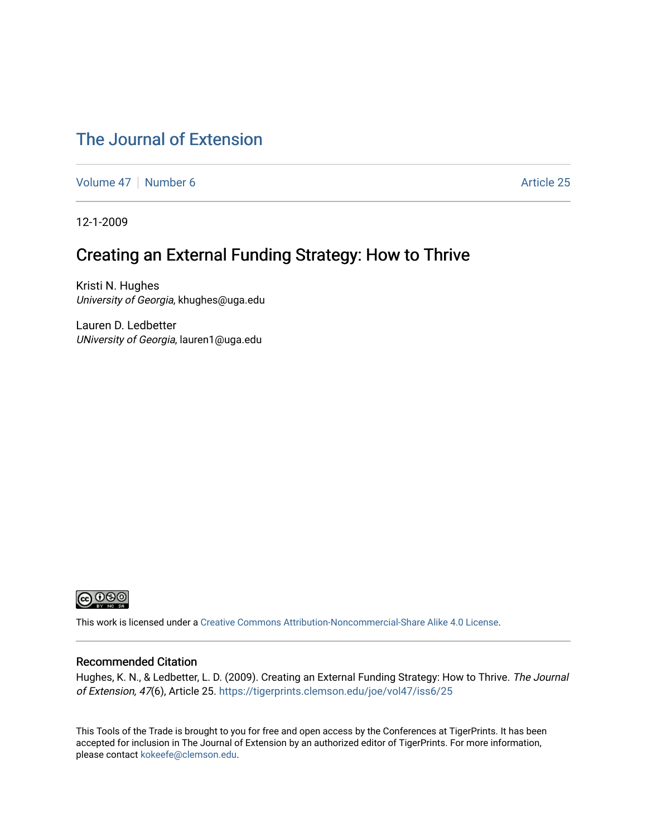#### [The Journal of Extension](https://tigerprints.clemson.edu/joe)

[Volume 47](https://tigerprints.clemson.edu/joe/vol47) | [Number 6](https://tigerprints.clemson.edu/joe/vol47/iss6) Article 25

12-1-2009

#### Creating an External Funding Strategy: How to Thrive

Kristi N. Hughes University of Georgia, khughes@uga.edu

Lauren D. Ledbetter UNiversity of Georgia, lauren1@uga.edu



This work is licensed under a [Creative Commons Attribution-Noncommercial-Share Alike 4.0 License.](https://creativecommons.org/licenses/by-nc-sa/4.0/)

#### Recommended Citation

Hughes, K. N., & Ledbetter, L. D. (2009). Creating an External Funding Strategy: How to Thrive. The Journal of Extension, 47(6), Article 25.<https://tigerprints.clemson.edu/joe/vol47/iss6/25>

This Tools of the Trade is brought to you for free and open access by the Conferences at TigerPrints. It has been accepted for inclusion in The Journal of Extension by an authorized editor of TigerPrints. For more information, please contact [kokeefe@clemson.edu](mailto:kokeefe@clemson.edu).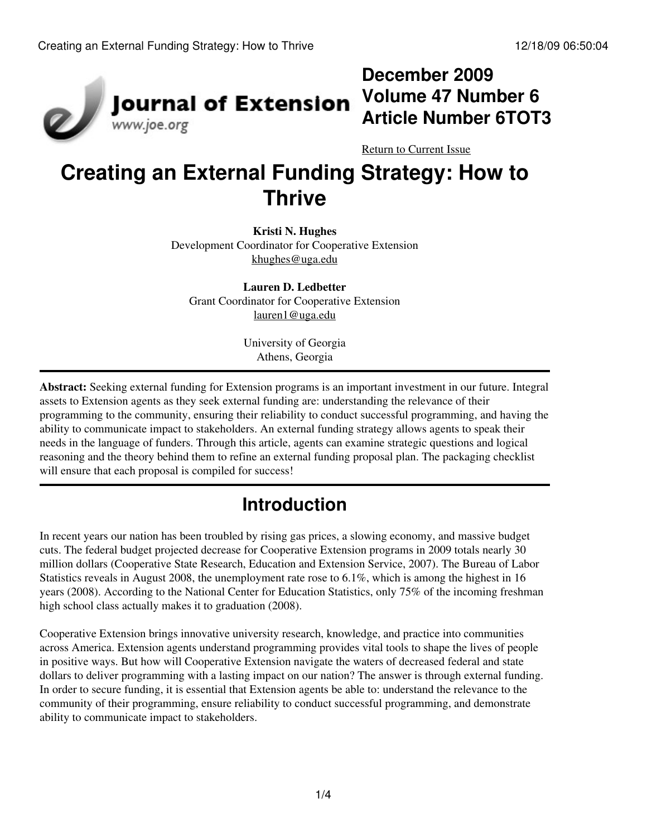

## **December 2009 Volume 47 Number 6 Article Number 6TOT3**

[Return to Current Issue](http://www.joe.org:80/joe/2009december/)

# **Creating an External Funding Strategy: How to Thrive**

**Kristi N. Hughes** Development Coordinator for Cooperative Extension [khughes@uga.edu](mailto:khughes@uga.edu)

**Lauren D. Ledbetter** Grant Coordinator for Cooperative Extension [lauren1@uga.edu](mailto:lauren1@uga.edu)

> University of Georgia Athens, Georgia

**Abstract:** Seeking external funding for Extension programs is an important investment in our future. Integral assets to Extension agents as they seek external funding are: understanding the relevance of their programming to the community, ensuring their reliability to conduct successful programming, and having the ability to communicate impact to stakeholders. An external funding strategy allows agents to speak their needs in the language of funders. Through this article, agents can examine strategic questions and logical reasoning and the theory behind them to refine an external funding proposal plan. The packaging checklist will ensure that each proposal is compiled for success!

## **Introduction**

In recent years our nation has been troubled by rising gas prices, a slowing economy, and massive budget cuts. The federal budget projected decrease for Cooperative Extension programs in 2009 totals nearly 30 million dollars (Cooperative State Research, Education and Extension Service, 2007). The Bureau of Labor Statistics reveals in August 2008, the unemployment rate rose to 6.1%, which is among the highest in 16 years (2008). According to the National Center for Education Statistics, only 75% of the incoming freshman high school class actually makes it to graduation (2008).

Cooperative Extension brings innovative university research, knowledge, and practice into communities across America. Extension agents understand programming provides vital tools to shape the lives of people in positive ways. But how will Cooperative Extension navigate the waters of decreased federal and state dollars to deliver programming with a lasting impact on our nation? The answer is through external funding. In order to secure funding, it is essential that Extension agents be able to: understand the relevance to the community of their programming, ensure reliability to conduct successful programming, and demonstrate ability to communicate impact to stakeholders.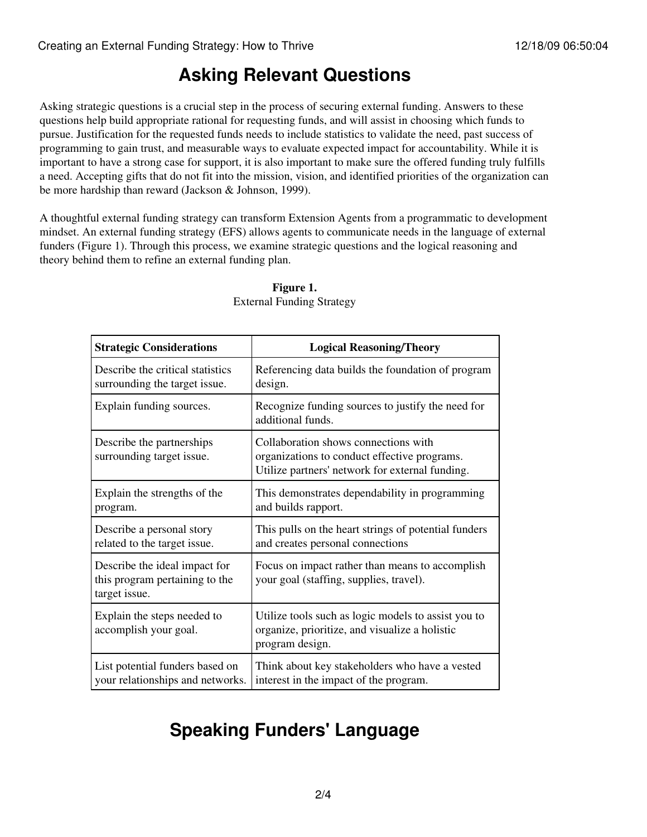### **Asking Relevant Questions**

Asking strategic questions is a crucial step in the process of securing external funding. Answers to these questions help build appropriate rational for requesting funds, and will assist in choosing which funds to pursue. Justification for the requested funds needs to include statistics to validate the need, past success of programming to gain trust, and measurable ways to evaluate expected impact for accountability. While it is important to have a strong case for support, it is also important to make sure the offered funding truly fulfills a need. Accepting gifts that do not fit into the mission, vision, and identified priorities of the organization can be more hardship than reward (Jackson & Johnson, 1999).

A thoughtful external funding strategy can transform Extension Agents from a programmatic to development mindset. An external funding strategy (EFS) allows agents to communicate needs in the language of external funders (Figure 1). Through this process, we examine strategic questions and the logical reasoning and theory behind them to refine an external funding plan.

| <b>Strategic Considerations</b>                                                  | <b>Logical Reasoning/Theory</b>                                                                                                         |
|----------------------------------------------------------------------------------|-----------------------------------------------------------------------------------------------------------------------------------------|
| Describe the critical statistics<br>surrounding the target issue.                | Referencing data builds the foundation of program<br>design.                                                                            |
| Explain funding sources.                                                         | Recognize funding sources to justify the need for<br>additional funds.                                                                  |
| Describe the partnerships<br>surrounding target issue.                           | Collaboration shows connections with<br>organizations to conduct effective programs.<br>Utilize partners' network for external funding. |
| Explain the strengths of the<br>program.                                         | This demonstrates dependability in programming<br>and builds rapport.                                                                   |
| Describe a personal story<br>related to the target issue.                        | This pulls on the heart strings of potential funders<br>and creates personal connections                                                |
| Describe the ideal impact for<br>this program pertaining to the<br>target issue. | Focus on impact rather than means to accomplish<br>your goal (staffing, supplies, travel).                                              |
| Explain the steps needed to<br>accomplish your goal.                             | Utilize tools such as logic models to assist you to<br>organize, prioritize, and visualize a holistic<br>program design.                |
| List potential funders based on<br>your relationships and networks.              | Think about key stakeholders who have a vested<br>interest in the impact of the program.                                                |

#### **Figure 1.** External Funding Strategy

# **Speaking Funders' Language**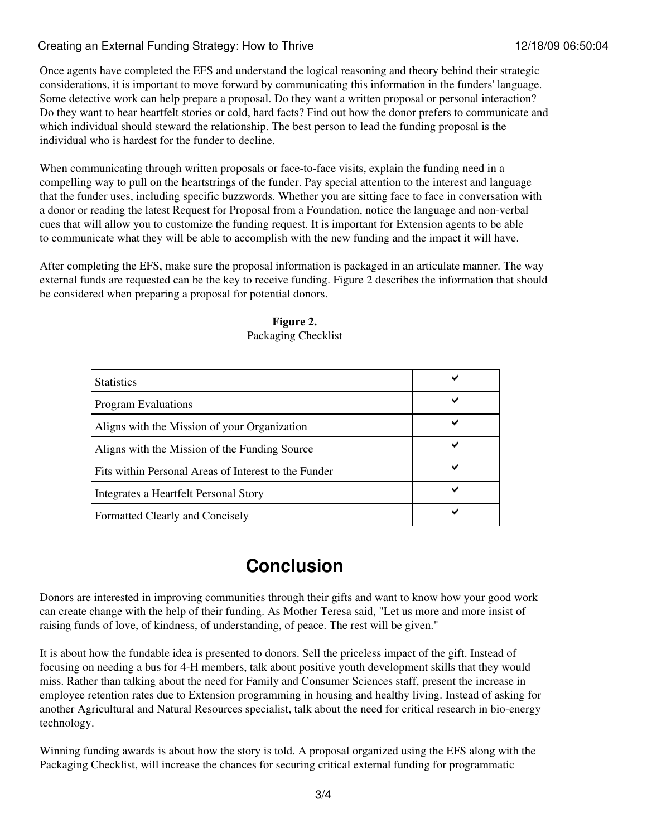#### Creating an External Funding Strategy: How to Thrive 12/18/09 06:50:04

Once agents have completed the EFS and understand the logical reasoning and theory behind their strategic considerations, it is important to move forward by communicating this information in the funders' language. Some detective work can help prepare a proposal. Do they want a written proposal or personal interaction? Do they want to hear heartfelt stories or cold, hard facts? Find out how the donor prefers to communicate and which individual should steward the relationship. The best person to lead the funding proposal is the individual who is hardest for the funder to decline.

When communicating through written proposals or face-to-face visits, explain the funding need in a compelling way to pull on the heartstrings of the funder. Pay special attention to the interest and language that the funder uses, including specific buzzwords. Whether you are sitting face to face in conversation with a donor or reading the latest Request for Proposal from a Foundation, notice the language and non-verbal cues that will allow you to customize the funding request. It is important for Extension agents to be able to communicate what they will be able to accomplish with the new funding and the impact it will have.

After completing the EFS, make sure the proposal information is packaged in an articulate manner. The way external funds are requested can be the key to receive funding. Figure 2 describes the information that should be considered when preparing a proposal for potential donors.

| Figure 2.           |  |  |
|---------------------|--|--|
| Packaging Checklist |  |  |

| <b>Statistics</b>                                    |   |
|------------------------------------------------------|---|
| <b>Program Evaluations</b>                           |   |
| Aligns with the Mission of your Organization         | ັ |
| Aligns with the Mission of the Funding Source        |   |
| Fits within Personal Areas of Interest to the Funder | ັ |
| Integrates a Heartfelt Personal Story                |   |
| Formatted Clearly and Concisely                      | ັ |

## **Conclusion**

Donors are interested in improving communities through their gifts and want to know how your good work can create change with the help of their funding. As Mother Teresa said, "Let us more and more insist of raising funds of love, of kindness, of understanding, of peace. The rest will be given."

It is about how the fundable idea is presented to donors. Sell the priceless impact of the gift. Instead of focusing on needing a bus for 4-H members, talk about positive youth development skills that they would miss. Rather than talking about the need for Family and Consumer Sciences staff, present the increase in employee retention rates due to Extension programming in housing and healthy living. Instead of asking for another Agricultural and Natural Resources specialist, talk about the need for critical research in bio-energy technology.

Winning funding awards is about how the story is told. A proposal organized using the EFS along with the Packaging Checklist, will increase the chances for securing critical external funding for programmatic